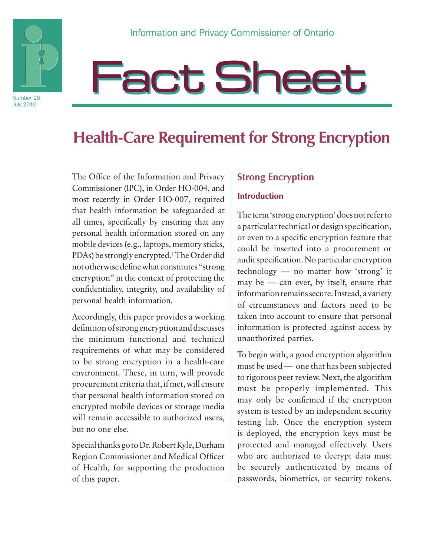

Number 16 July 2010

# **Fact Sheet**

## **Health-Care Requirement for Strong Encryption**

The Office of the Information and Privacy Commissioner (IPC), in Order HO-004, and most recently in Order HO-007, required that health information be safeguarded at all times, specifically by ensuring that any personal health information stored on any mobile devices (e.g., laptops, memory sticks, PDAs) be strongly encrypted.<sup>1</sup> The Order did not otherwise define what constitutes "strong encryption" in the context of protecting the confidentiality, integrity, and availability of personal health information.

Accordingly, this paper provides a working definition of strong encryption and discusses the minimum functional and technical requirements of what may be considered to be strong encryption in a health-care environment. These, in turn, will provide procurement criteria that, if met, will ensure that personal health information stored on encrypted mobile devices or storage media will remain accessible to authorized users, but no one else.

Special thanks go to Dr. Robert Kyle, Durham Region Commissioner and Medical Officer of Health, for supporting the production of this paper.

#### **Strong Encryption**

#### **Introduction**

The term 'strong encryption' does not refer to a particular technical or design specification, or even to a specific encryption feature that could be inserted into a procurement or audit specification. No particular encryption technology — no matter how 'strong' it may be — can ever, by itself, ensure that information remains secure. Instead, a variety of circumstances and factors need to be taken into account to ensure that personal information is protected against access by unauthorized parties.

To begin with, a good encryption algorithm must be used — one that has been subjected to rigorous peer review. Next, the algorithm must be properly implemented. This may only be confirmed if the encryption system is tested by an independent security testing lab. Once the encryption system is deployed, the encryption keys must be protected and managed effectively. Users who are authorized to decrypt data must be securely authenticated by means of passwords, biometrics, or security tokens.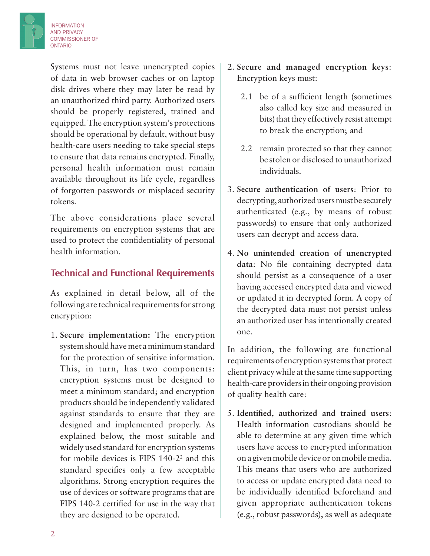

Systems must not leave unencrypted copies of data in web browser caches or on laptop disk drives where they may later be read by an unauthorized third party. Authorized users should be properly registered, trained and equipped. The encryption system's protections should be operational by default, without busy health-care users needing to take special steps to ensure that data remains encrypted. Finally, personal health information must remain available throughout its life cycle, regardless of forgotten passwords or misplaced security tokens.

The above considerations place several requirements on encryption systems that are used to protect the confidentiality of personal health information.

#### **Technical and Functional Requirements**

As explained in detail below, all of the following are technical requirements for strong encryption:

1. **Secure implementation:** The encryption system should have met a minimum standard for the protection of sensitive information. This, in turn, has two components: encryption systems must be designed to meet a minimum standard; and encryption products should be independently validated against standards to ensure that they are designed and implemented properly. As explained below, the most suitable and widely used standard for encryption systems for mobile devices is FIPS 140-2<sup>2</sup> and this standard specifies only a few acceptable algorithms. Strong encryption requires the use of devices or software programs that are FIPS 140-2 certified for use in the way that they are designed to be operated.

- 2. **Secure and managed encryption keys**: Encryption keys must:
	- 2.1 be of a sufficient length (sometimes also called key size and measured in bits) that they effectively resist attempt to break the encryption; and
	- 2.2 remain protected so that they cannot be stolen or disclosed to unauthorized individuals.
- 3. **Secure authentication of users**: Prior to decrypting, authorized users must be securely authenticated (e.g., by means of robust passwords) to ensure that only authorized users can decrypt and access data.
- 4. **No unintended creation of unencrypted data**: No file containing decrypted data should persist as a consequence of a user having accessed encrypted data and viewed or updated it in decrypted form. A copy of the decrypted data must not persist unless an authorized user has intentionally created one.

In addition, the following are functional requirements of encryption systems that protect client privacy while at the same time supporting health-care providers in their ongoing provision of quality health care:

5. **Identified, authorized and trained users**: Health information custodians should be able to determine at any given time which users have access to encrypted information on a given mobile device or on mobile media. This means that users who are authorized to access or update encrypted data need to be individually identified beforehand and given appropriate authentication tokens (e.g., robust passwords), as well as adequate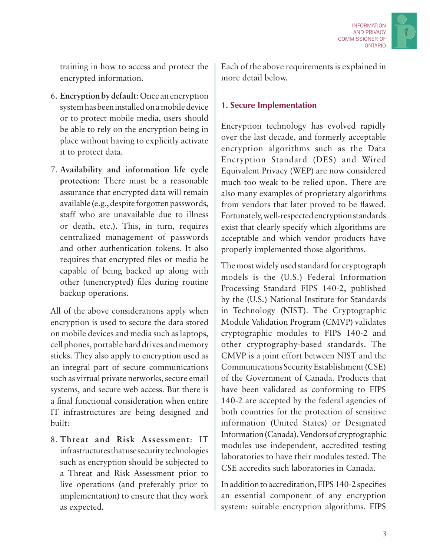

training in how to access and protect the encrypted information.

- 6. **Encryption by default**: Once an encryption system has been installed on a mobile device or to protect mobile media, users should be able to rely on the encryption being in place without having to explicitly activate it to protect data.
- 7. **Availability and information life cycle protection**: There must be a reasonable assurance that encrypted data will remain available (e.g., despite forgotten passwords, staff who are unavailable due to illness or death, etc.). This, in turn, requires centralized management of passwords and other authentication tokens. It also requires that encrypted files or media be capable of being backed up along with other (unencrypted) files during routine backup operations.

All of the above considerations apply when encryption is used to secure the data stored on mobile devices and media such as laptops, cell phones, portable hard drives and memory sticks. They also apply to encryption used as an integral part of secure communications such as virtual private networks, secure email systems, and secure web access. But there is a final functional consideration when entire IT infrastructures are being designed and built:

8. **Threat and Risk Assessment**: IT infrastructures that use security technologies such as encryption should be subjected to a Threat and Risk Assessment prior to live operations (and preferably prior to implementation) to ensure that they work as expected.

Each of the above requirements is explained in more detail below.

#### **1. Secure Implementation**

Encryption technology has evolved rapidly over the last decade, and formerly acceptable encryption algorithms such as the Data Encryption Standard (DES) and Wired Equivalent Privacy (WEP) are now considered much too weak to be relied upon. There are also many examples of proprietary algorithms from vendors that later proved to be flawed. Fortunately, well-respected encryption standards exist that clearly specify which algorithms are acceptable and which vendor products have properly implemented those algorithms.

The most widely used standard for cryptograph models is the (U.S.) Federal Information Processing Standard FIPS 140-2, published by the (U.S.) National Institute for Standards in Technology (NIST). The Cryptographic Module Validation Program (CMVP) validates cryptographic modules to FIPS 140-2 and other cryptography-based standards. The CMVP is a joint effort between NIST and the Communications Security Establishment (CSE) of the Government of Canada. Products that have been validated as conforming to FIPS 140-2 are accepted by the federal agencies of both countries for the protection of sensitive information (United States) or Designated Information (Canada). Vendors of cryptographic modules use independent, accredited testing laboratories to have their modules tested. The CSE accredits such laboratories in Canada.

In addition to accreditation, FIPS 140-2 specifies an essential component of any encryption system: suitable encryption algorithms. FIPS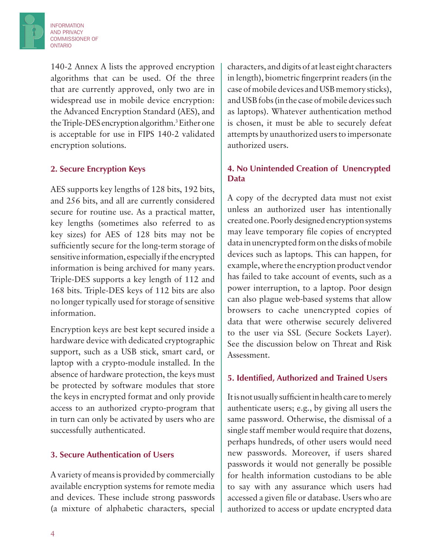INFORMATION AND PRIVACY COMMISSIONER OF **ONTARIO** 

> 140-2 Annex A lists the approved encryption algorithms that can be used. Of the three that are currently approved, only two are in widespread use in mobile device encryption: the Advanced Encryption Standard (AES), and the Triple-DES encryption algorithm.<sup>3</sup> Either one is acceptable for use in FIPS 140-2 validated encryption solutions.

#### **2. Secure Encryption Keys**

AES supports key lengths of 128 bits, 192 bits, and 256 bits, and all are currently considered secure for routine use. As a practical matter, key lengths (sometimes also referred to as key sizes) for AES of 128 bits may not be sufficiently secure for the long-term storage of sensitive information, especially if the encrypted information is being archived for many years. Triple-DES supports a key length of 112 and 168 bits. Triple-DES keys of 112 bits are also no longer typically used for storage of sensitive information.

Encryption keys are best kept secured inside a hardware device with dedicated cryptographic support, such as a USB stick, smart card, or laptop with a crypto-module installed. In the absence of hardware protection, the keys must be protected by software modules that store the keys in encrypted format and only provide access to an authorized crypto-program that in turn can only be activated by users who are successfully authenticated.

#### **3. Secure Authentication of Users**

A variety of means is provided by commercially available encryption systems for remote media and devices. These include strong passwords (a mixture of alphabetic characters, special

characters, and digits of at least eight characters in length), biometric fingerprint readers (in the case of mobile devices and USB memory sticks), and USB fobs (in the case of mobile devices such as laptops). Whatever authentication method is chosen, it must be able to securely defeat attempts by unauthorized users to impersonate authorized users.

#### **4. No Unintended Creation of Unencrypted Data**

A copy of the decrypted data must not exist unless an authorized user has intentionally created one. Poorly designed encryption systems may leave temporary file copies of encrypted data in unencrypted form on the disks of mobile devices such as laptops. This can happen, for example, where the encryption product vendor has failed to take account of events, such as a power interruption, to a laptop. Poor design can also plague web-based systems that allow browsers to cache unencrypted copies of data that were otherwise securely delivered to the user via SSL (Secure Sockets Layer). See the discussion below on Threat and Risk Assessment.

#### **5. Identified, Authorized and Trained Users**

It is not usually sufficient in health care to merely authenticate users; e.g., by giving all users the same password. Otherwise, the dismissal of a single staff member would require that dozens, perhaps hundreds, of other users would need new passwords. Moreover, if users shared passwords it would not generally be possible for health information custodians to be able to say with any assurance which users had accessed a given file or database. Users who are authorized to access or update encrypted data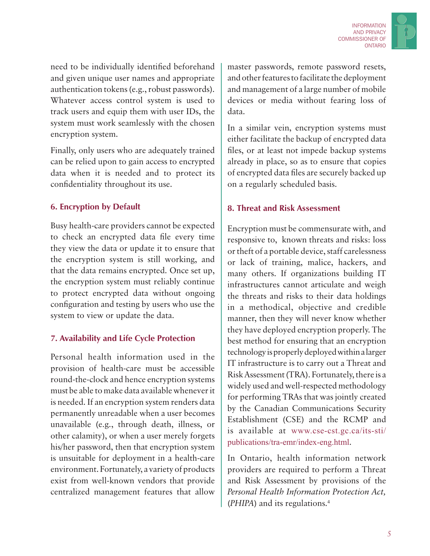

need to be individually identified beforehand and given unique user names and appropriate authentication tokens (e.g., robust passwords). Whatever access control system is used to track users and equip them with user IDs, the system must work seamlessly with the chosen encryption system.

Finally, only users who are adequately trained can be relied upon to gain access to encrypted data when it is needed and to protect its confidentiality throughout its use.

#### **6. Encryption by Default**

Busy health-care providers cannot be expected to check an encrypted data file every time they view the data or update it to ensure that the encryption system is still working, and that the data remains encrypted. Once set up, the encryption system must reliably continue to protect encrypted data without ongoing configuration and testing by users who use the system to view or update the data.

#### **7. Availability and Life Cycle Protection**

Personal health information used in the provision of health-care must be accessible round-the-clock and hence encryption systems must be able to make data available whenever it is needed. If an encryption system renders data permanently unreadable when a user becomes unavailable (e.g., through death, illness, or other calamity), or when a user merely forgets his/her password, then that encryption system is unsuitable for deployment in a health-care environment. Fortunately, a variety of products exist from well-known vendors that provide centralized management features that allow

master passwords, remote password resets, and other features to facilitate the deployment and management of a large number of mobile devices or media without fearing loss of data.

In a similar vein, encryption systems must either facilitate the backup of encrypted data files, or at least not impede backup systems already in place, so as to ensure that copies of encrypted data files are securely backed up on a regularly scheduled basis.

#### **8. Threat and Risk Assessment**

Encryption must be commensurate with, and responsive to, known threats and risks: loss or theft of a portable device, staff carelessness or lack of training, malice, hackers, and many others. If organizations building IT infrastructures cannot articulate and weigh the threats and risks to their data holdings in a methodical, objective and credible manner, then they will never know whether they have deployed encryption properly. The best method for ensuring that an encryption technology is properly deployed within a larger IT infrastructure is to carry out a Threat and Risk Assessment (TRA). Fortunately, there is a widely used and well-respected methodology for performing TRAs that was jointly created by the Canadian Communications Security Establishment (CSE) and the RCMP and is available at www.cse-cst.gc.ca/its-sti/ publications/tra-emr/index-eng.html.

In Ontario, health information network providers are required to perform a Threat and Risk Assessment by provisions of the *Personal Health Information Protection Act,*  (*PHIPA*) and its regulations.<sup>4</sup>